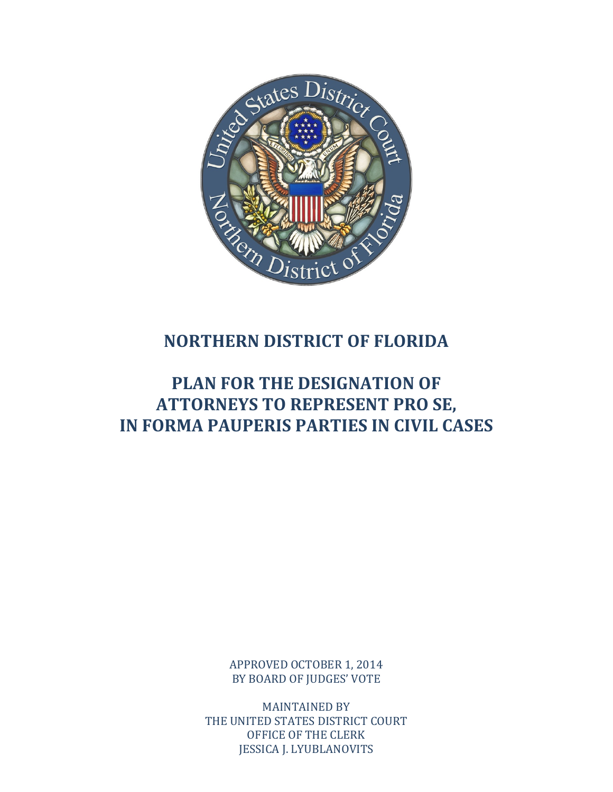

# **NORTHERN DISTRICT OF FLORIDA**

# **PLAN FOR THE DESIGNATION OF ATTORNEYS TO REPRESENT PRO SE, IN FORMA PAUPERIS PARTIES IN CIVIL CASES**

APPROVED OCTOBER 1, 2014 BY BOARD OF JUDGES' VOTE

**MAINTAINED BY** THE UNITED STATES DISTRICT COURT OFFICE OF THE CLERK **JESSICA J. LYUBLANOVITS**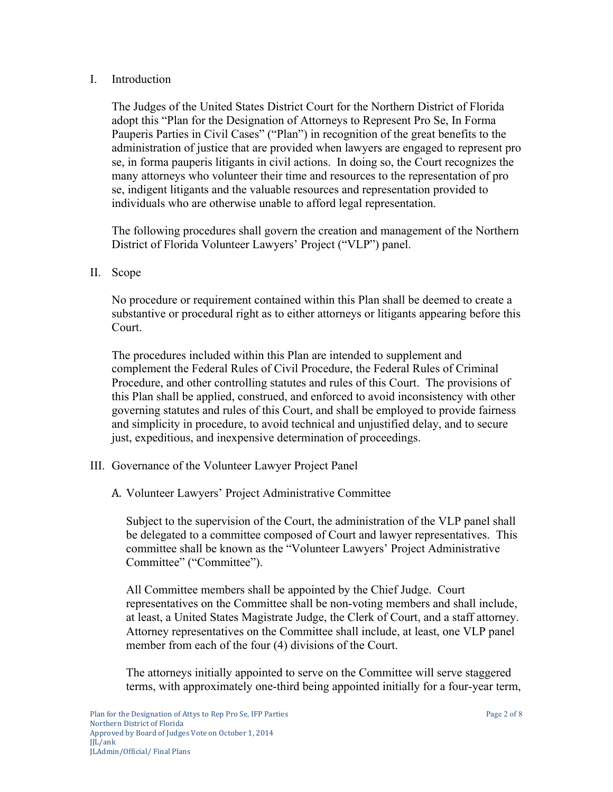#### I. Introduction

The Judges of the United States District Court for the Northern District of Florida adopt this "Plan for the Designation of Attorneys to Represent Pro Se, In Forma Pauperis Parties in Civil Cases" ("Plan") in recognition of the great benefits to the administration of justice that are provided when lawyers are engaged to represent pro se, in forma pauperis litigants in civil actions. In doing so, the Court recognizes the many attorneys who volunteer their time and resources to the representation of pro se, indigent litigants and the valuable resources and representation provided to individuals who are otherwise unable to afford legal representation.

The following procedures shall govern the creation and management of the Northern District of Florida Volunteer Lawyers' Project ("VLP") panel.

#### II. Scope

No procedure or requirement contained within this Plan shall be deemed to create a substantive or procedural right as to either attorneys or litigants appearing before this Court.

The procedures included within this Plan are intended to supplement and complement the Federal Rules of Civil Procedure, the Federal Rules of Criminal Procedure, and other controlling statutes and rules of this Court. The provisions of this Plan shall be applied, construed, and enforced to avoid inconsistency with other governing statutes and rules of this Court, and shall be employed to provide fairness and simplicity in procedure, to avoid technical and unjustified delay, and to secure just, expeditious, and inexpensive determination of proceedings.

- III. Governance of the Volunteer Lawyer Project Panel
	- A. Volunteer Lawyers' Project Administrative Committee

Subject to the supervision of the Court, the administration of the VLP panel shall be delegated to a committee composed of Court and lawyer representatives. This committee shall be known as the "Volunteer Lawyers' Project Administrative Committee" ("Committee").

All Committee members shall be appointed by the Chief Judge. Court representatives on the Committee shall be non-voting members and shall include, at least, a United States Magistrate Judge, the Clerk of Court, and a staff attorney. Attorney representatives on the Committee shall include, at least, one VLP panel member from each of the four (4) divisions of the Court.

The attorneys initially appointed to serve on the Committee will serve staggered terms, with approximately one-third being appointed initially for a four-year term,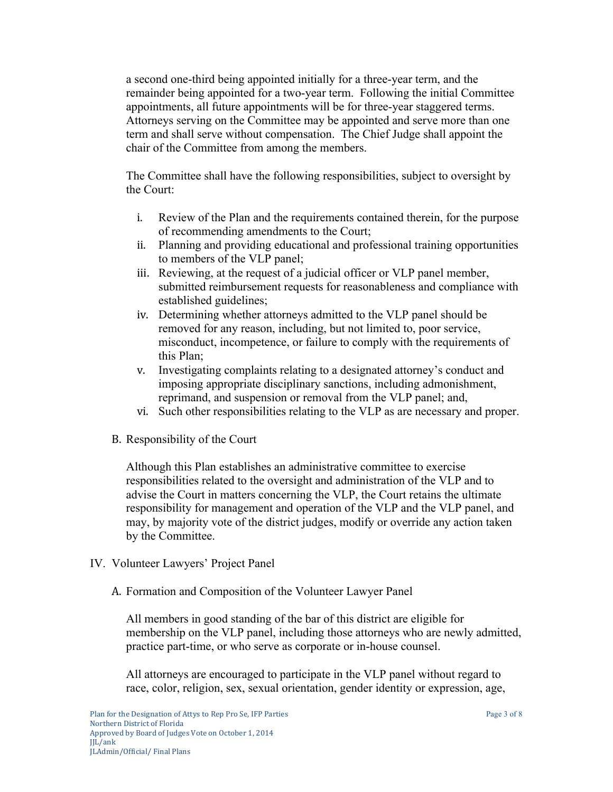a second one-third being appointed initially for a three-year term, and the remainder being appointed for a two-year term. Following the initial Committee appointments, all future appointments will be for three-year staggered terms. Attorneys serving on the Committee may be appointed and serve more than one term and shall serve without compensation. The Chief Judge shall appoint the chair of the Committee from among the members.

The Committee shall have the following responsibilities, subject to oversight by the Court:

- i. Review of the Plan and the requirements contained therein, for the purpose of recommending amendments to the Court;
- ii. Planning and providing educational and professional training opportunities to members of the VLP panel;
- iii. Reviewing, at the request of a judicial officer or VLP panel member, submitted reimbursement requests for reasonableness and compliance with established guidelines;
- iv. Determining whether attorneys admitted to the VLP panel should be removed for any reason, including, but not limited to, poor service, misconduct, incompetence, or failure to comply with the requirements of this Plan;
- v. Investigating complaints relating to a designated attorney's conduct and imposing appropriate disciplinary sanctions, including admonishment, reprimand, and suspension or removal from the VLP panel; and,
- vi. Such other responsibilities relating to the VLP as are necessary and proper.
- B. Responsibility of the Court

Although this Plan establishes an administrative committee to exercise responsibilities related to the oversight and administration of the VLP and to advise the Court in matters concerning the VLP, the Court retains the ultimate responsibility for management and operation of the VLP and the VLP panel, and may, by majority vote of the district judges, modify or override any action taken by the Committee.

- IV. Volunteer Lawyers' Project Panel
	- A. Formation and Composition of the Volunteer Lawyer Panel

All members in good standing of the bar of this district are eligible for membership on the VLP panel, including those attorneys who are newly admitted, practice part-time, or who serve as corporate or in-house counsel.

All attorneys are encouraged to participate in the VLP panel without regard to race, color, religion, sex, sexual orientation, gender identity or expression, age,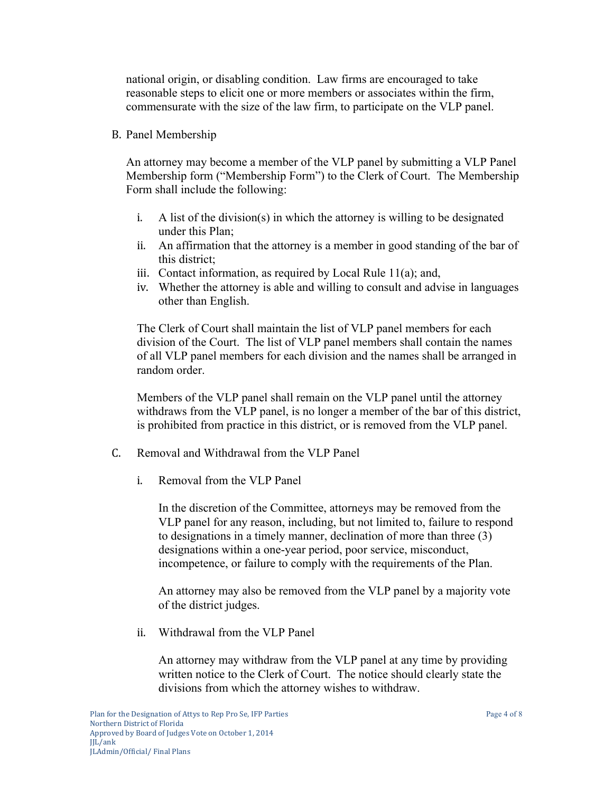national origin, or disabling condition. Law firms are encouraged to take reasonable steps to elicit one or more members or associates within the firm, commensurate with the size of the law firm, to participate on the VLP panel.

B. Panel Membership

An attorney may become a member of the VLP panel by submitting a VLP Panel Membership form ("Membership Form") to the Clerk of Court. The Membership Form shall include the following:

- i. A list of the division(s) in which the attorney is willing to be designated under this Plan;
- ii. An affirmation that the attorney is a member in good standing of the bar of this district;
- iii. Contact information, as required by Local Rule  $11(a)$ ; and,
- iv. Whether the attorney is able and willing to consult and advise in languages other than English.

The Clerk of Court shall maintain the list of VLP panel members for each division of the Court. The list of VLP panel members shall contain the names of all VLP panel members for each division and the names shall be arranged in random order.

Members of the VLP panel shall remain on the VLP panel until the attorney withdraws from the VLP panel, is no longer a member of the bar of this district, is prohibited from practice in this district, or is removed from the VLP panel.

- C. Removal and Withdrawal from the VLP Panel
	- i. Removal from the VLP Panel

In the discretion of the Committee, attorneys may be removed from the VLP panel for any reason, including, but not limited to, failure to respond to designations in a timely manner, declination of more than three (3) designations within a one-year period, poor service, misconduct, incompetence, or failure to comply with the requirements of the Plan.

An attorney may also be removed from the VLP panel by a majority vote of the district judges.

ii. Withdrawal from the VLP Panel

An attorney may withdraw from the VLP panel at any time by providing written notice to the Clerk of Court. The notice should clearly state the divisions from which the attorney wishes to withdraw.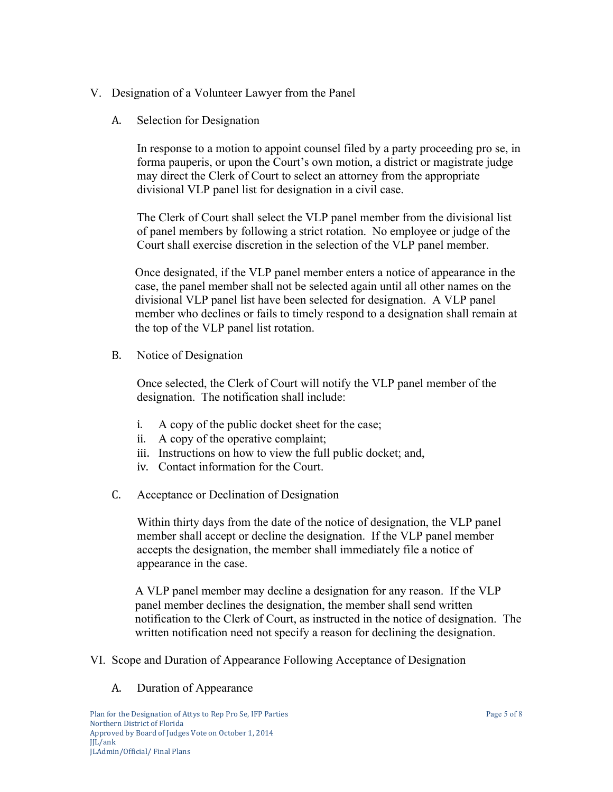# V. Designation of a Volunteer Lawyer from the Panel

A. Selection for Designation

In response to a motion to appoint counsel filed by a party proceeding pro se, in forma pauperis, or upon the Court's own motion, a district or magistrate judge may direct the Clerk of Court to select an attorney from the appropriate divisional VLP panel list for designation in a civil case.

The Clerk of Court shall select the VLP panel member from the divisional list of panel members by following a strict rotation. No employee or judge of the Court shall exercise discretion in the selection of the VLP panel member.

Once designated, if the VLP panel member enters a notice of appearance in the case, the panel member shall not be selected again until all other names on the divisional VLP panel list have been selected for designation. A VLP panel member who declines or fails to timely respond to a designation shall remain at the top of the VLP panel list rotation.

B. Notice of Designation

Once selected, the Clerk of Court will notify the VLP panel member of the designation. The notification shall include:

- i. A copy of the public docket sheet for the case;
- ii. A copy of the operative complaint;
- iii. Instructions on how to view the full public docket; and,
- iv. Contact information for the Court.
- C. Acceptance or Declination of Designation

Within thirty days from the date of the notice of designation, the VLP panel member shall accept or decline the designation. If the VLP panel member accepts the designation, the member shall immediately file a notice of appearance in the case.

A VLP panel member may decline a designation for any reason. If the VLP panel member declines the designation, the member shall send written notification to the Clerk of Court, as instructed in the notice of designation. The written notification need not specify a reason for declining the designation.

- VI. Scope and Duration of Appearance Following Acceptance of Designation
	- A. Duration of Appearance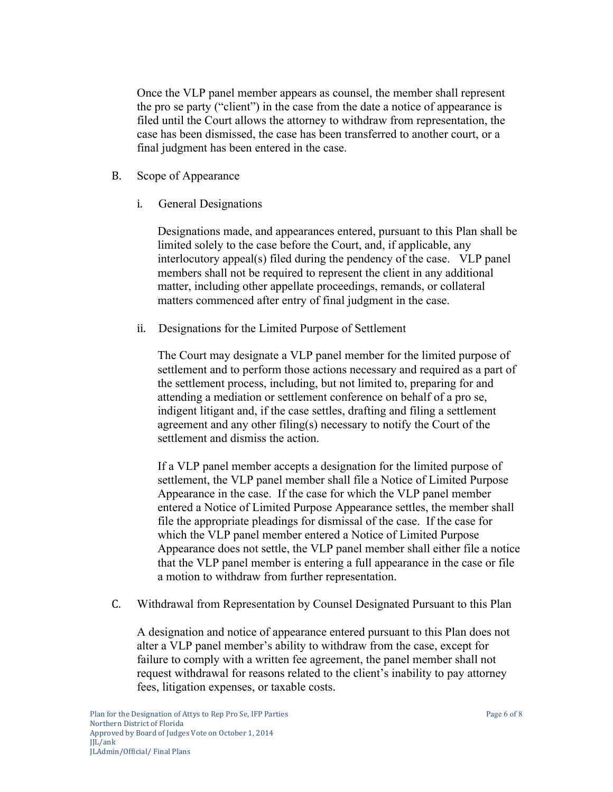Once the VLP panel member appears as counsel, the member shall represent the pro se party ("client") in the case from the date a notice of appearance is filed until the Court allows the attorney to withdraw from representation, the case has been dismissed, the case has been transferred to another court, or a final judgment has been entered in the case.

- B. Scope of Appearance
	- i. General Designations

Designations made, and appearances entered, pursuant to this Plan shall be limited solely to the case before the Court, and, if applicable, any interlocutory appeal(s) filed during the pendency of the case. VLP panel members shall not be required to represent the client in any additional matter, including other appellate proceedings, remands, or collateral matters commenced after entry of final judgment in the case.

ii. Designations for the Limited Purpose of Settlement

The Court may designate a VLP panel member for the limited purpose of settlement and to perform those actions necessary and required as a part of the settlement process, including, but not limited to, preparing for and attending a mediation or settlement conference on behalf of a pro se, indigent litigant and, if the case settles, drafting and filing a settlement agreement and any other filing(s) necessary to notify the Court of the settlement and dismiss the action.

If a VLP panel member accepts a designation for the limited purpose of settlement, the VLP panel member shall file a Notice of Limited Purpose Appearance in the case. If the case for which the VLP panel member entered a Notice of Limited Purpose Appearance settles, the member shall file the appropriate pleadings for dismissal of the case. If the case for which the VLP panel member entered a Notice of Limited Purpose Appearance does not settle, the VLP panel member shall either file a notice that the VLP panel member is entering a full appearance in the case or file a motion to withdraw from further representation.

C. Withdrawal from Representation by Counsel Designated Pursuant to this Plan

A designation and notice of appearance entered pursuant to this Plan does not alter a VLP panel member's ability to withdraw from the case, except for failure to comply with a written fee agreement, the panel member shall not request withdrawal for reasons related to the client's inability to pay attorney fees, litigation expenses, or taxable costs.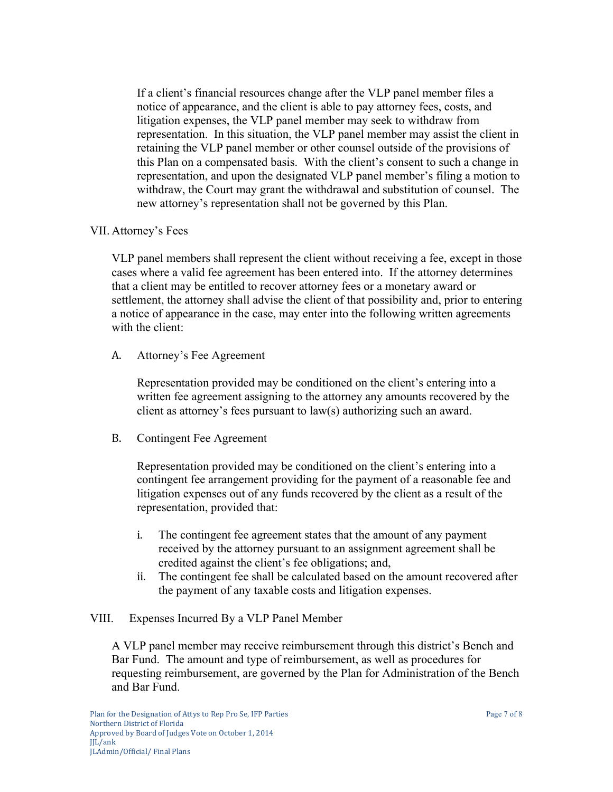If a client's financial resources change after the VLP panel member files a notice of appearance, and the client is able to pay attorney fees, costs, and litigation expenses, the VLP panel member may seek to withdraw from representation. In this situation, the VLP panel member may assist the client in retaining the VLP panel member or other counsel outside of the provisions of this Plan on a compensated basis. With the client's consent to such a change in representation, and upon the designated VLP panel member's filing a motion to withdraw, the Court may grant the withdrawal and substitution of counsel. The new attorney's representation shall not be governed by this Plan.

## VII. Attorney's Fees

VLP panel members shall represent the client without receiving a fee, except in those cases where a valid fee agreement has been entered into. If the attorney determines that a client may be entitled to recover attorney fees or a monetary award or settlement, the attorney shall advise the client of that possibility and, prior to entering a notice of appearance in the case, may enter into the following written agreements with the client:

A. Attorney's Fee Agreement

Representation provided may be conditioned on the client's entering into a written fee agreement assigning to the attorney any amounts recovered by the client as attorney's fees pursuant to law(s) authorizing such an award.

B. Contingent Fee Agreement

Representation provided may be conditioned on the client's entering into a contingent fee arrangement providing for the payment of a reasonable fee and litigation expenses out of any funds recovered by the client as a result of the representation, provided that:

- i. The contingent fee agreement states that the amount of any payment received by the attorney pursuant to an assignment agreement shall be credited against the client's fee obligations; and,
- ii. The contingent fee shall be calculated based on the amount recovered after the payment of any taxable costs and litigation expenses.

## VIII. Expenses Incurred By a VLP Panel Member

A VLP panel member may receive reimbursement through this district's Bench and Bar Fund. The amount and type of reimbursement, as well as procedures for requesting reimbursement, are governed by the Plan for Administration of the Bench and Bar Fund.